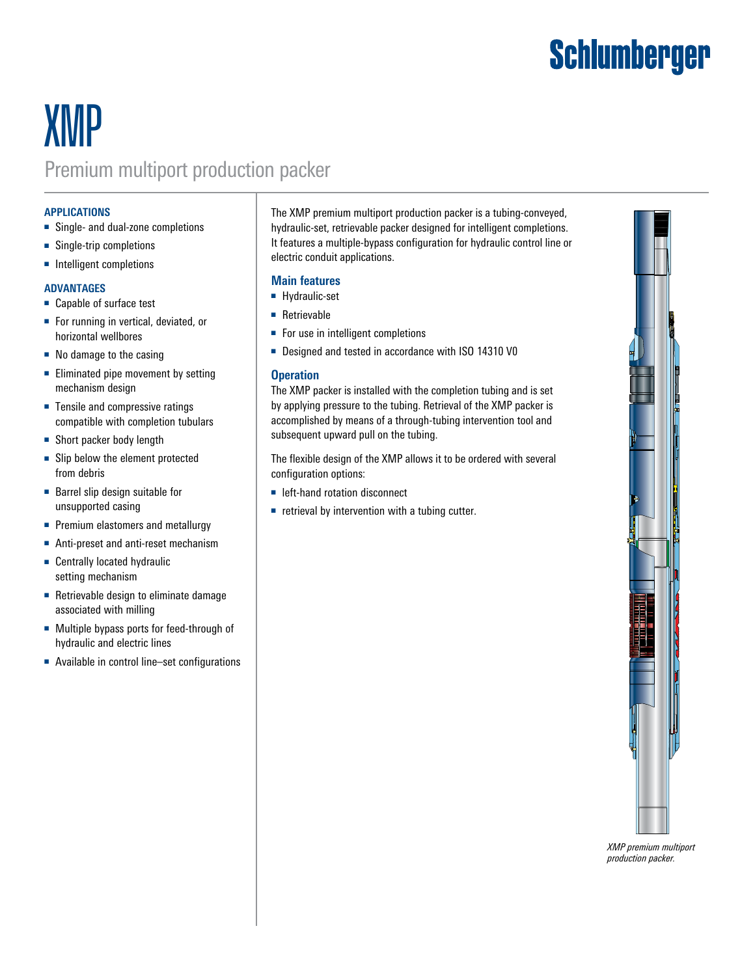# **Schlumberger**

## **XMP** Premium multiport production packer

#### **APPLICATIONS**

- Single- and dual-zone completions
- Single-trip completions
- Intelligent completions

#### **ADVANTAGES**

- Capable of surface test
- For running in vertical, deviated, or horizontal wellbores
- No damage to the casing
- Eliminated pipe movement by setting mechanism design
- Tensile and compressive ratings compatible with completion tubulars
- Short packer body length
- Slip below the element protected from debris
- Barrel slip design suitable for unsupported casing
- Premium elastomers and metallurgy
- Anti-preset and anti-reset mechanism
- Centrally located hydraulic setting mechanism
- Retrievable design to eliminate damage associated with milling
- Multiple bypass ports for feed-through of hydraulic and electric lines
- Available in control line–set configurations

The XMP premium multiport production packer is a tubing-conveyed, hydraulic-set, retrievable packer designed for intelligent completions. It features a multiple-bypass configuration for hydraulic control line or electric conduit applications.

### **Main features**

- Hydraulic-set
- Retrievable
- For use in intelligent completions
- Designed and tested in accordance with ISO 14310 V0

#### **Operation**

The XMP packer is installed with the completion tubing and is set by applying pressure to the tubing. Retrieval of the XMP packer is accomplished by means of a through-tubing intervention tool and subsequent upward pull on the tubing.

The flexible design of the XMP allows it to be ordered with several configuration options:

- left-hand rotation disconnect
- retrieval by intervention with a tubing cutter.



*XMP premium multiport production packer.*